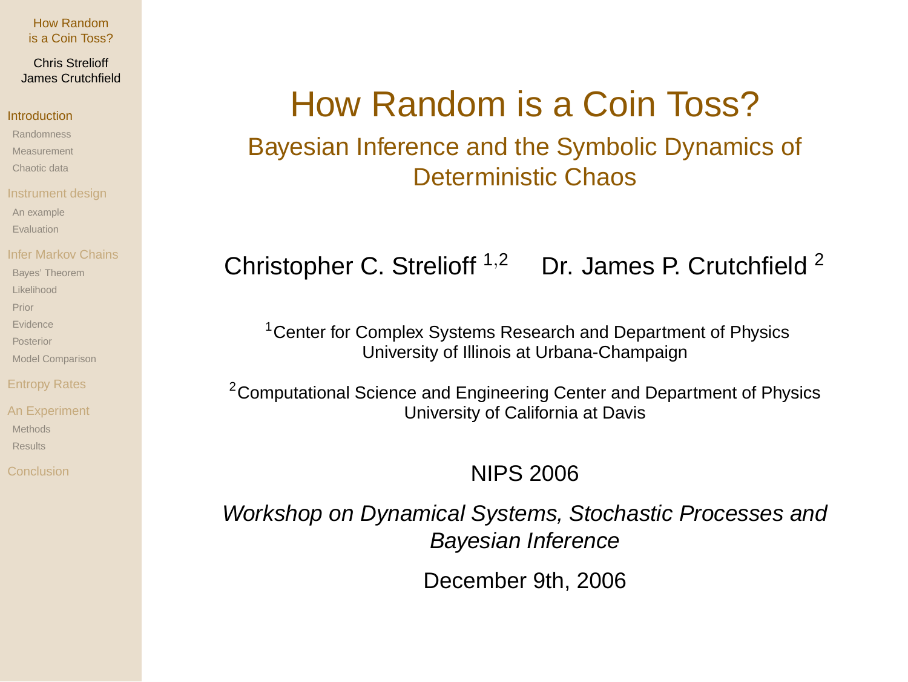## Chris Strelioff James Crutchfield

## Introduction

- Randomness
- Measurement
- Chaotic data
- 
- An example
- Evaluation
- 
- Bayes' Theorem
- Likelihood
- Prior
- Evidence
- Posterior
- Model Comparison

- Methods Results
- 

# How Random is a Coin Toss?

Bayesian Inference and the Symbolic Dynamics of Deterministic Chaos

# Christopher C. Strelioff  $1,2$  Dr. James P. Crutchfield  $2$

<sup>1</sup> Center for Complex Systems Research and Department of Physics University of Illinois at Urbana-Champaign

<sup>2</sup> Computational Science and Engineering Center and Department of Physics University of California at Davis

# NIPS 2006

Workshop on Dynamical Systems, Stochastic Processes and Bayesian Inference

December 9th, 2006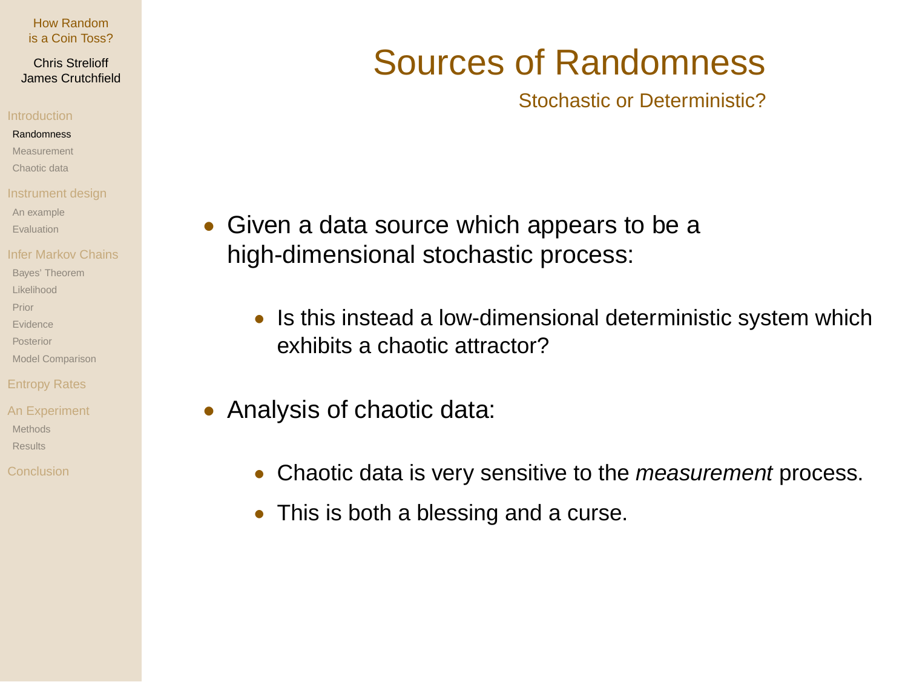Chris Strelioff James Crutchfield

## **Pandomness**

- Measurement
- Chaotic data
- 
- An example
- Evaluation
- 
- Bayes' Theorem
- Likelihood
- Prior
- Evidence
- Posterior
- Model Comparison

- Methods Results
- 

# Sources of Randomness

Stochastic or Deterministic?

- Given a data source which appears to be a high-dimensional stochastic process:
	- Is this instead a low-dimensional deterministic system which exhibits a chaotic attractor?
- Analysis of chaotic data:
	- Chaotic data is very sensitive to the *measurement* process.
	- This is both a blessing and a curse.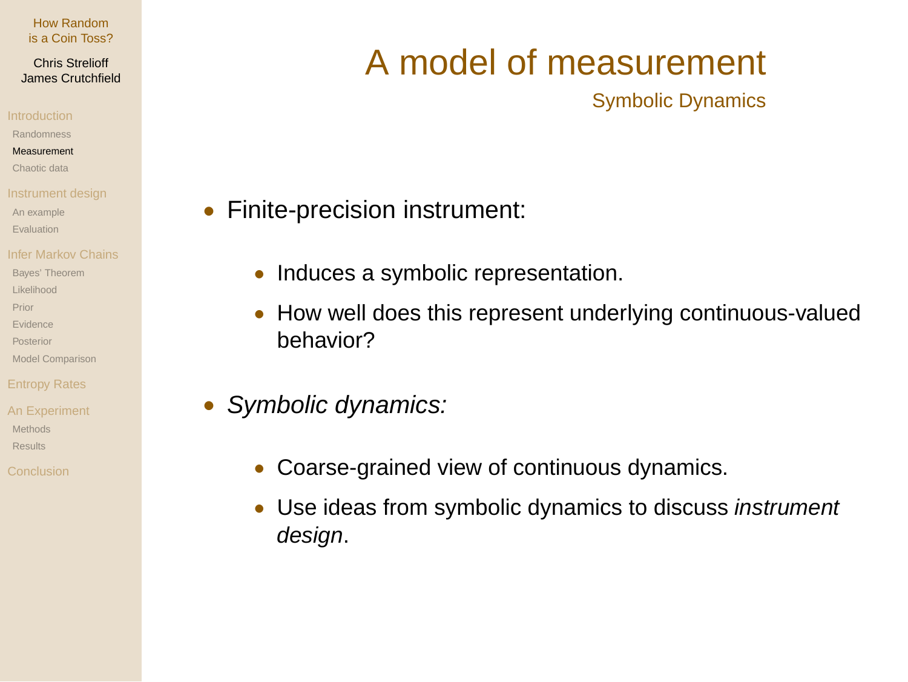## Chris Strelioff James Crutchfield

Randomness

Measurement

Chaotic data

An example

Evaluation

Bayes' Theorem

Likelihood

Prior

Evidence

Posterior

Model Comparison

Methods Results

# A model of measurement

Symbolic Dynamics

- Finite-precision instrument:
	- Induces a symbolic representation.
	- How well does this represent underlying continuous-valued behavior?
- Symbolic dynamics:
	- Coarse-grained view of continuous dynamics.
	- Use ideas from symbolic dynamics to discuss *instrument* design.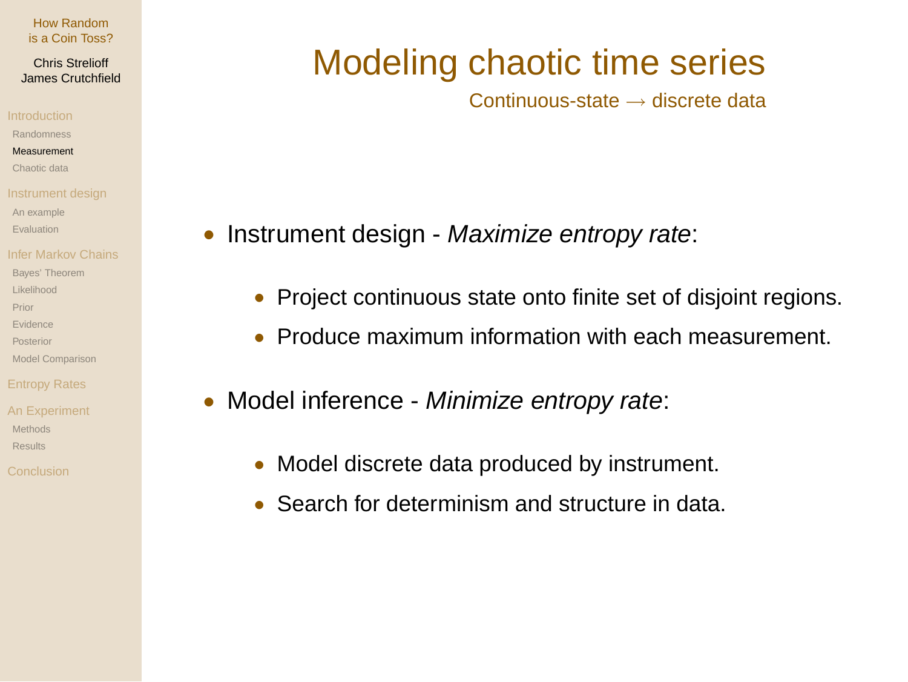Chris Strelioff James Crutchfield

Randomness

Measurement

Chaotic data

An example

Evaluation

Bayes' Theorem

Likelihood

Prior

Evidence

Posterior

Model Comparison

Methods Results

# Modeling chaotic time series

Continuous-state → discrete data

- Instrument design Maximize entropy rate:
	- Project continuous state onto finite set of disjoint regions.
	- Produce maximum information with each measurement.
- Model inference Minimize entropy rate:
	- Model discrete data produced by instrument.
	- Search for determinism and structure in data.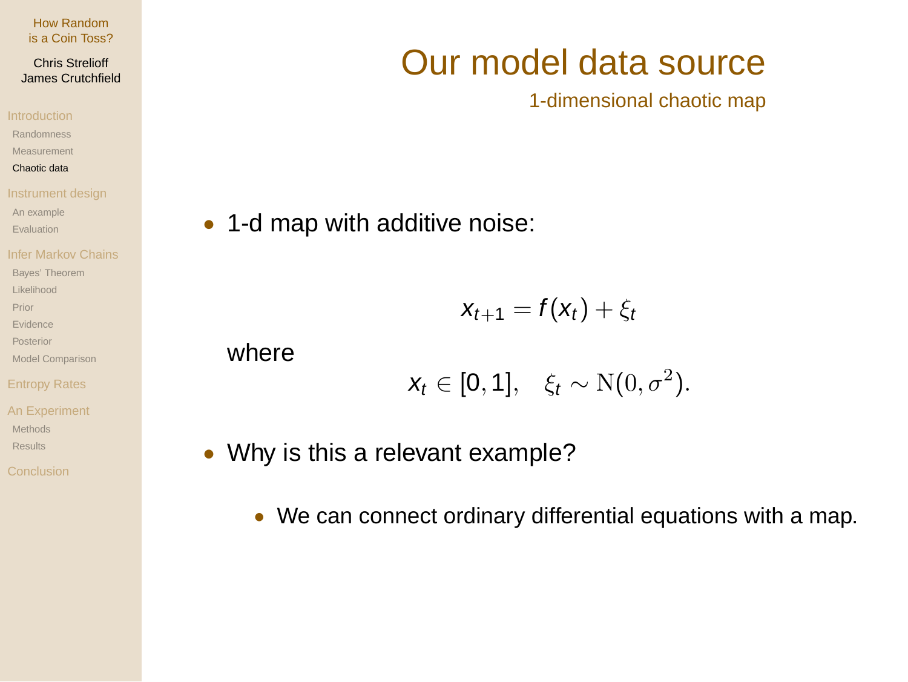## Chris Strelioff James Crutchfield

Randomness Measurement

Chaotic data

An example

Evaluation

Bayes' Theorem

Likelihood

Prior

Evidence

Posterior

Model Comparison

An Experiment Methods

Results

# Our model data source

1-dimensional chaotic map

• 1-d map with additive noise:

$$
x_{t+1} = f(x_t) + \xi_t
$$

where

$$
x_t \in [0,1], \quad \xi_t \sim \mathrm{N}(0,\sigma^2).
$$

• Why is this a relevant example?

• We can connect ordinary differential equations with a map.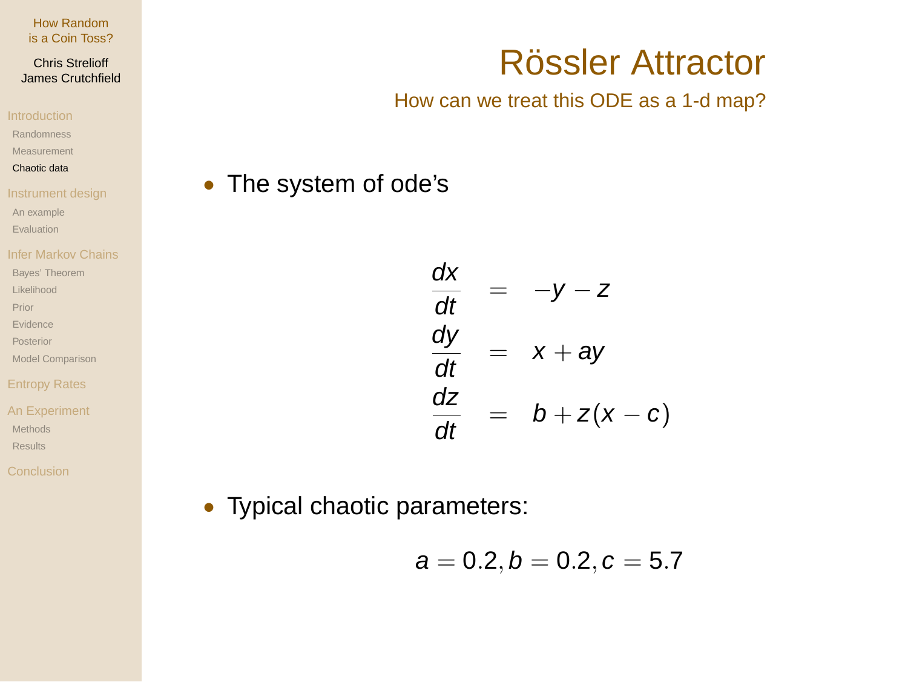## Chris Strelioff James Crutchfield

Randomness Measurement

Chaotic data

An example Evaluation

Bayes' Theorem

Likelihood

Prior

Evidence

Posterior

Model Comparison

# Entropy Rates

An Experiment Methods Results

# Rössler Attractor

# How can we treat this ODE as a 1-d map?

• The system of ode's

$$
\frac{dx}{dt} = -y - z
$$
\n
$$
\frac{dy}{dt} = x + ay
$$
\n
$$
\frac{dz}{dt} = b + z(x - c)
$$

• Typical chaotic parameters:

$$
a=0.2, b=0.2, c=5.7
$$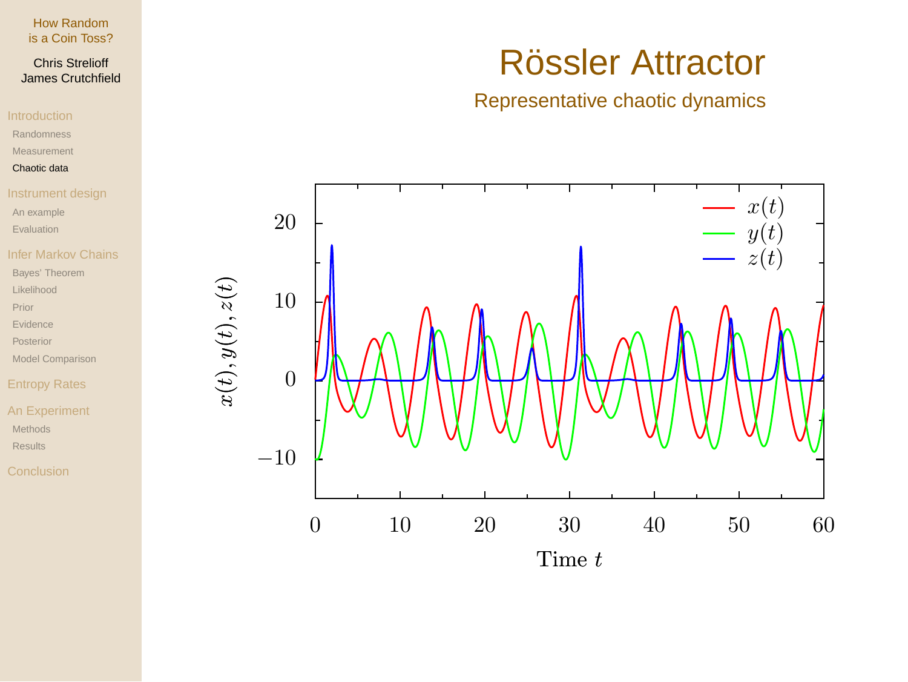# Chris Strelioff James Crutchfield

Randomness Measurement

Chaotic data

An example

Evaluation

# Infer Markov Chains

Bayes' Theorem

Likelihood

Prior

Evidence

Posterior

Model Comparison

# Entropy Rates

An Experiment Methods Results

# $x(t),y(t),z(t)$

# Rössler Attractor

# Representative chaotic dynamics

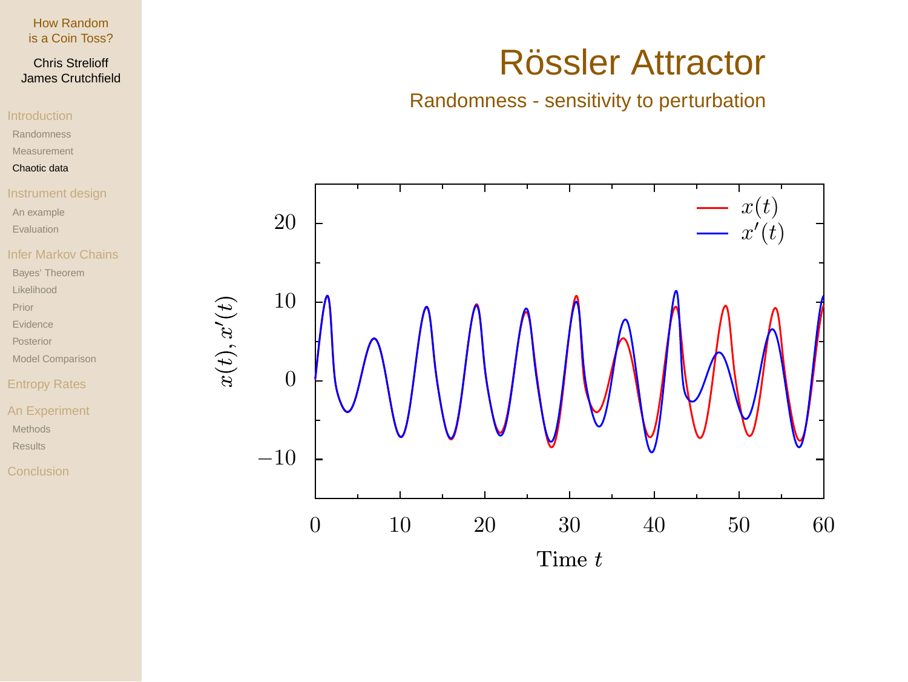# Chris Strelioff James Crutchfield

Randomness

Measurement

## Chaotic data

An example

Evaluation

Bayes' Theorem

Likelihood

Prior

Evidence

Posterior

Model Comparison

# Entropy Rates

An Experiment Methods Results

# Rössler Attractor

# Randomness - sensitivity to perturbation

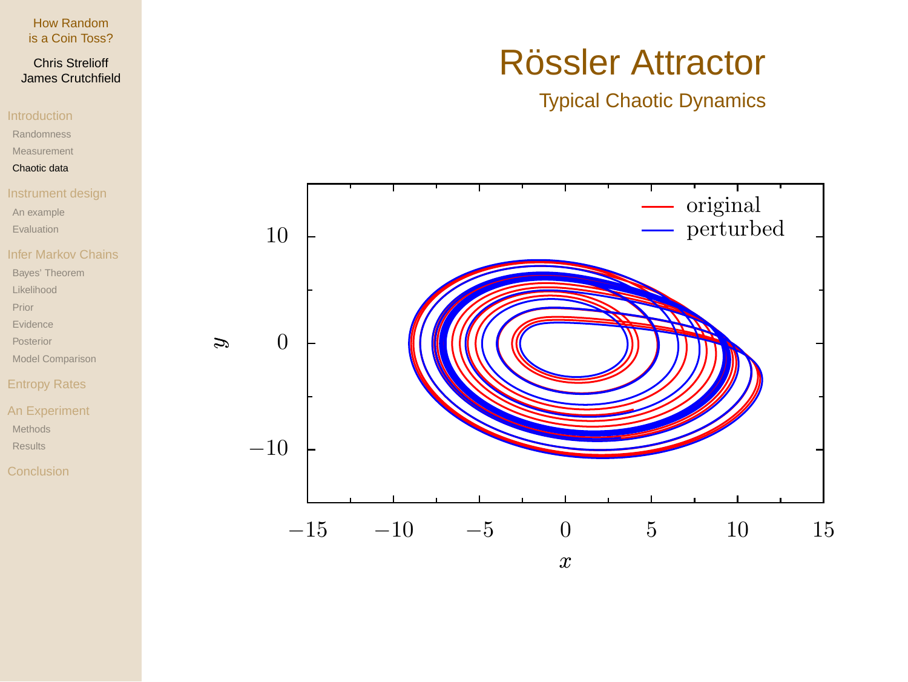# Chris Strelioff James Crutchfield

Randomness

Measurement

## Chaotic data

An example

Evaluation

Bayes' Theorem

Likelihood

Prior

Evidence

Posterior

Model Comparison

# Entropy Rates

An Experiment Methods Results

# Rössler Attractor

Typical Chaotic Dynamics

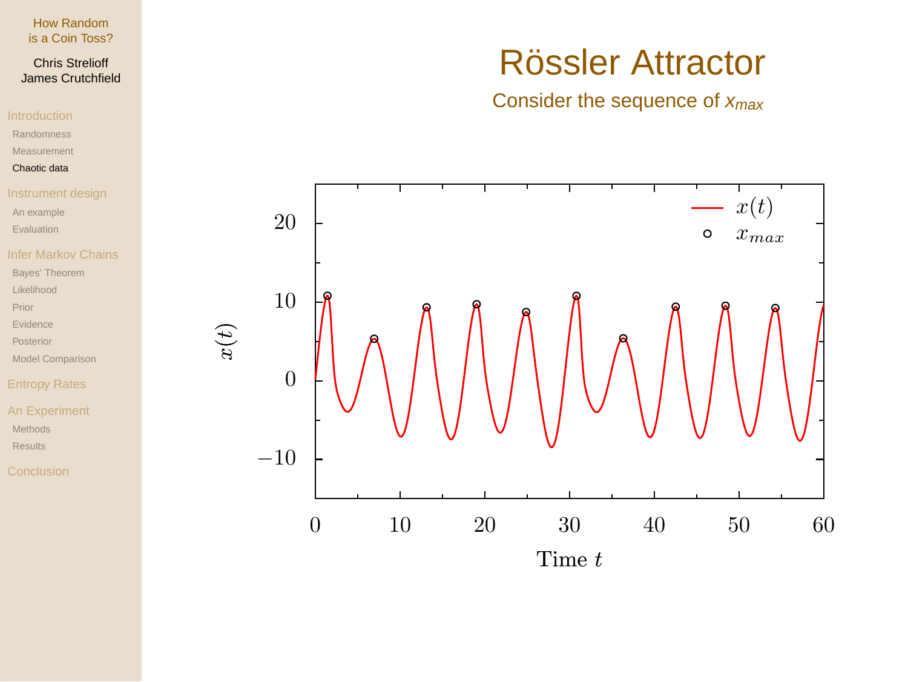# Chris Strelioff James Crutchfield

Randomness

Measurement

## Chaotic data

An example

Evaluation

Bayes' Theorem

Likelihood

Prior

Evidence

Posterior

Model Comparison

# Entropy Rates

An Experiment Methods Results

# Rössler Attractor

# Consider the sequence of  $x_{max}$

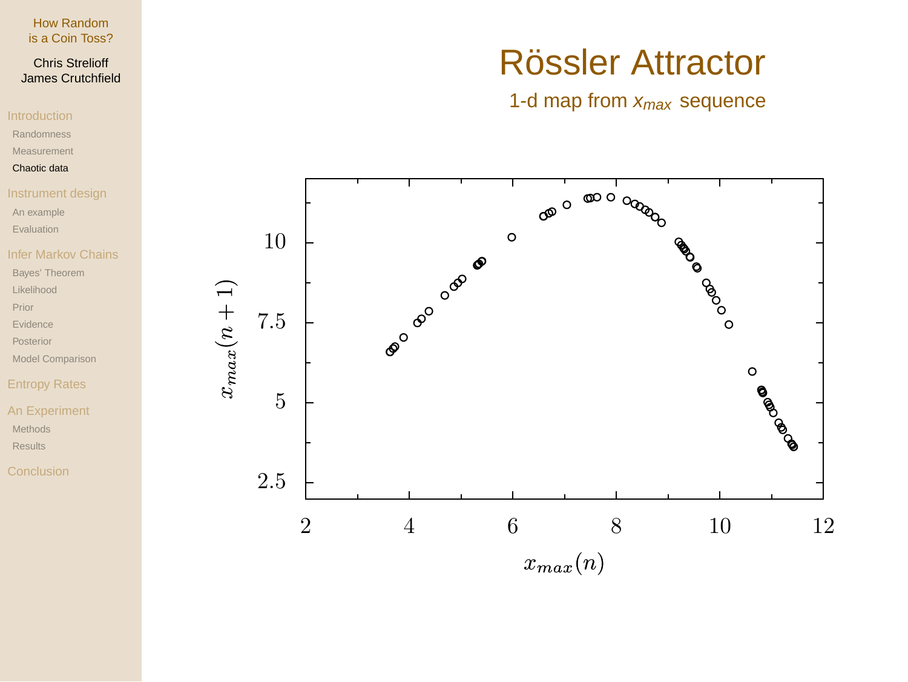# Chris Strelioff James Crutchfield

- Randomness
- Measurement

## Chaotic data

- 
- An example
- Evaluation

# Infer Markov Chains

- Bayes' Theorem
- Likelihood
- Prior
- Evidence
- Posterior
- Model Comparison

# Entropy Rates

- An Experiment Methods Results
- 

# Rössler Attractor

# 1-d map from  $x_{max}$  sequence

![](_page_10_Figure_21.jpeg)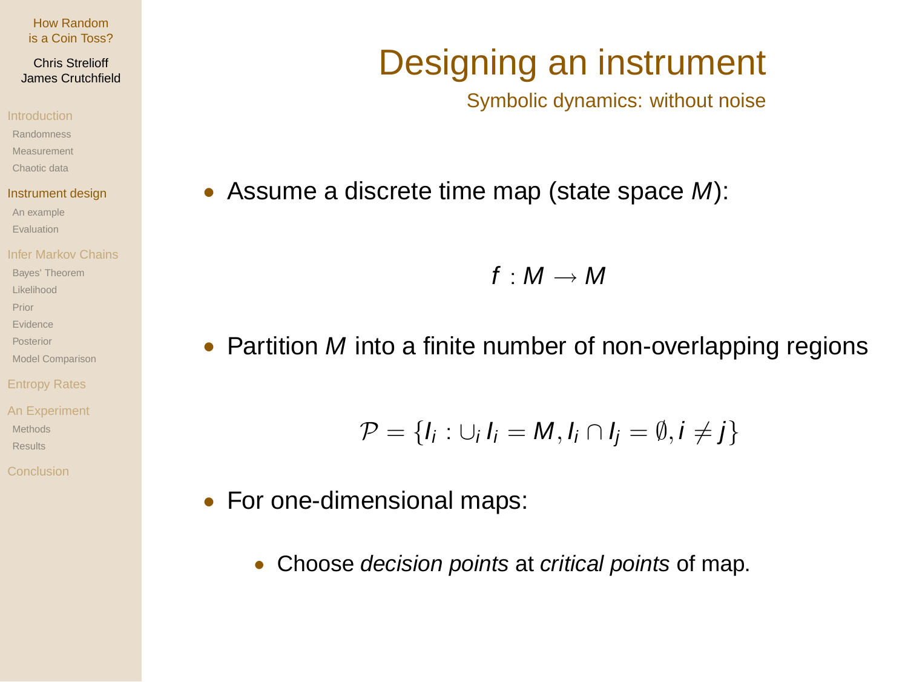## Chris Strelioff James Crutchfield

Randomness

Measurement

Chaotic data

## Instrument design

An example Evaluation

Bayes' Theorem

Likelihood

Prior

Evidence

Posterior

Model Comparison

Methods Results

# Designing an instrument

Symbolic dynamics: without noise

• Assume a discrete time map (state space M):

 $f : M \rightarrow M$ 

• Partition M into a finite number of non-overlapping regions

$$
\mathcal{P} = \{I_i : \cup_i I_i = M, I_i \cap I_j = \emptyset, i \neq j\}
$$

- For one-dimensional maps:
	- Choose *decision points* at *critical points* of map.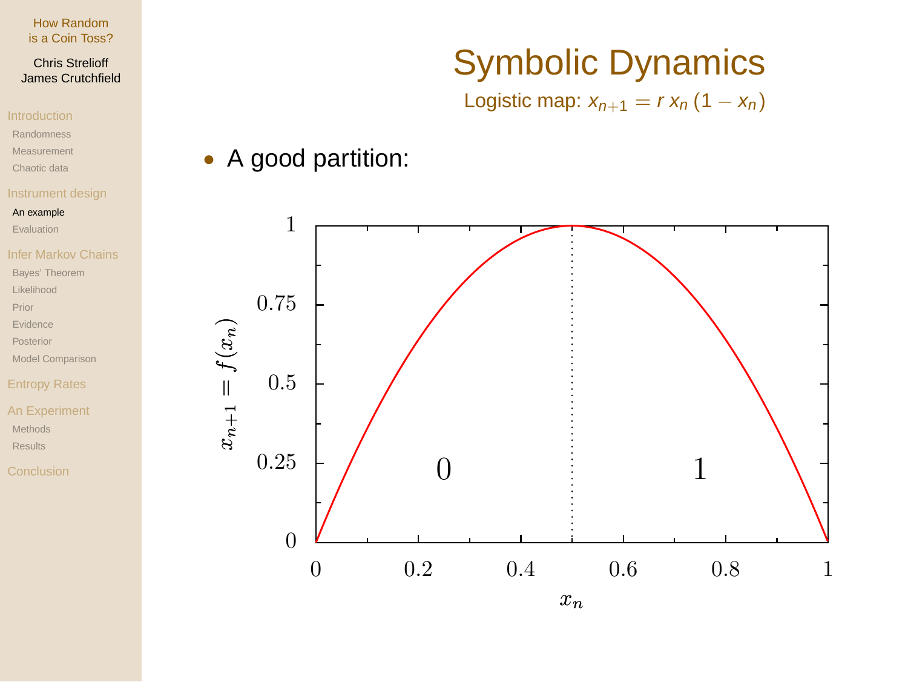# Chris Strelioff James Crutchfield

- Randomness
- Measurement
- Chaotic data

## An example

Evaluation

# Infer Markov Chains

- Bayes' Theorem
- Likelihood
- Prior
- Evidence
- Posterior
- Model Comparison

# Entropy Rates

An Experiment Methods Results

# Symbolic Dynamics

Logistic map:  $x_{n+1} = r x_n (1 - x_n)$ 

# • A good partition:

![](_page_12_Figure_22.jpeg)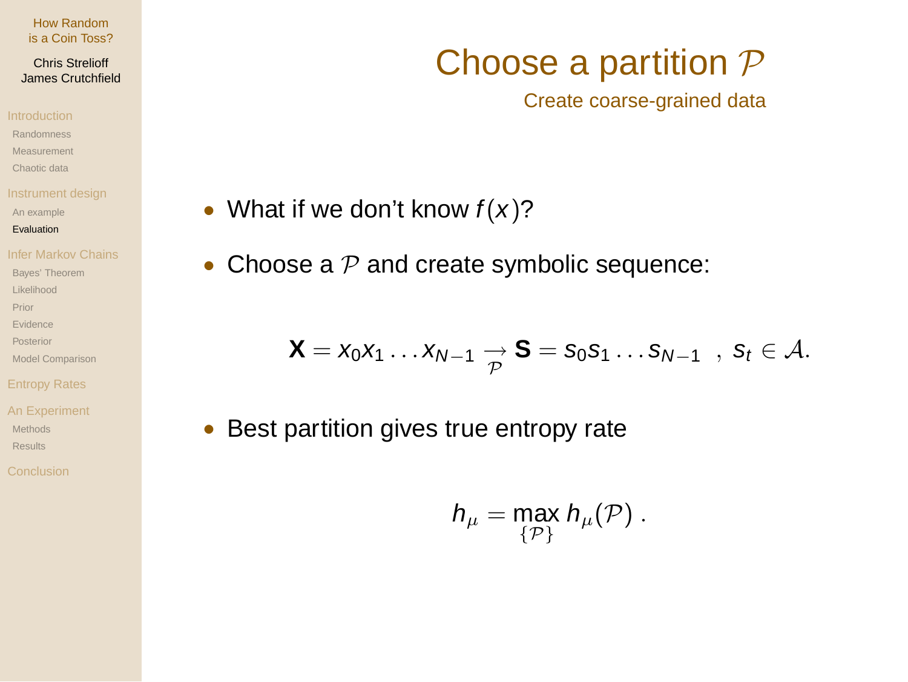## Chris Strelioff James Crutchfield

- Randomness
- Measurement
- Chaotic data
- 
- An example
- Evaluation
- 
- Bayes' Theorem
- Likelihood
- Prior
- Evidence
- Posterior
- Model Comparison
- 
- An Experiment Methods Results
- 

# Choose a partition  $P$

Create coarse-grained data

- What if we don't know  $f(x)$ ?
- Choose a  $P$  and create symbolic sequence:

$$
\boldsymbol{X} = x_0 x_1 \ldots x_{N-1} \underset{\mathcal{P}}{\rightarrow} \boldsymbol{S} = s_0 s_1 \ldots s_{N-1} \ \ , \ s_t \in \mathcal{A}.
$$

• Best partition gives true entropy rate

$$
h_\mu = \max_{\{\mathcal{P}\}} h_\mu(\mathcal{P}) \ .
$$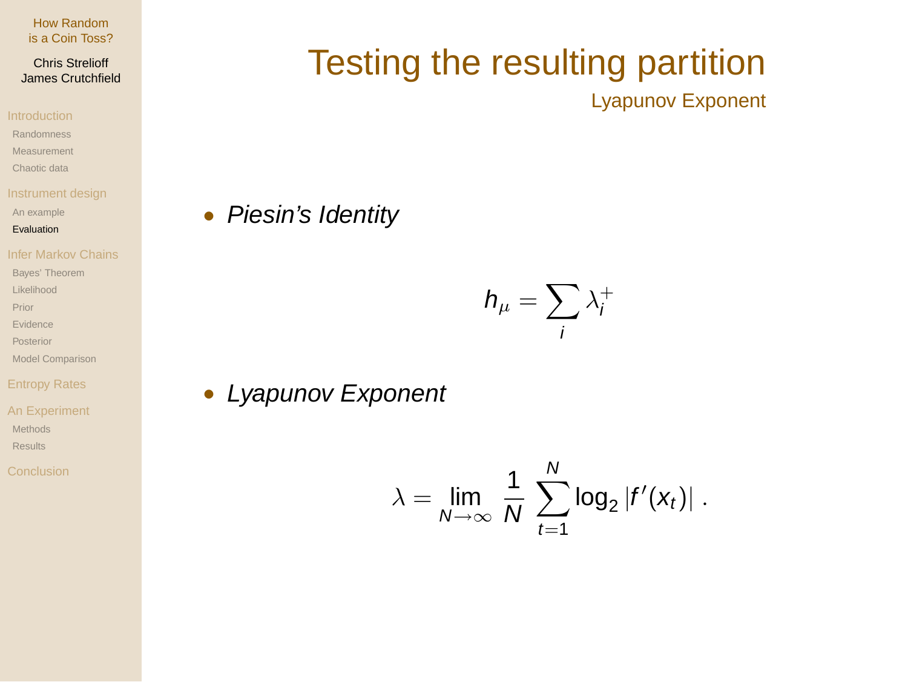## Chris Strelioff James Crutchfield

- Randomness
- Measurement
- Chaotic data
- 
- An example
- Evaluation

- Bayes' Theorem
- Likelihood
- Prior
- Evidence
- Posterior
- Model Comparison

- An Experiment Methods
- Results
- 

# Testing the resulting partition Lyapunov Exponent

• Piesin's Identity

$$
h_\mu = \sum_i \lambda_i^+
$$

• Lyapunov Exponent

$$
\lambda = \lim_{N \to \infty} \frac{1}{N} \sum_{t=1}^{N} \log_2 |f'(x_t)|.
$$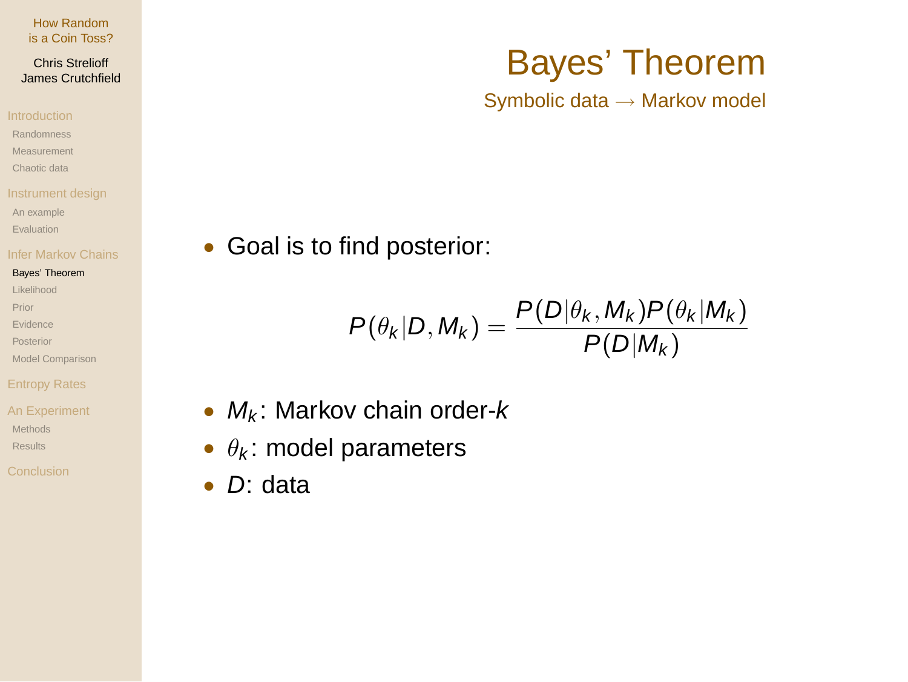## Chris Strelioff James Crutchfield

- Randomness
- Measurement
- Chaotic data
- 
- An example
- Evaluation

## Bayes' Theorem

- Likelihood
- Prior
- Evidence
- Posterior
- Model Comparison

- An Experiment Methods Results
- 

# Bayes' Theorem Symbolic data → Markov model

• Goal is to find posterior:

$$
P(\theta_k|D, M_k) = \frac{P(D|\theta_k, M_k)P(\theta_k|M_k)}{P(D|M_k)}
$$

- $M_k$ : Markov chain order- $k$
- $\theta_k$ : model parameters
- D: data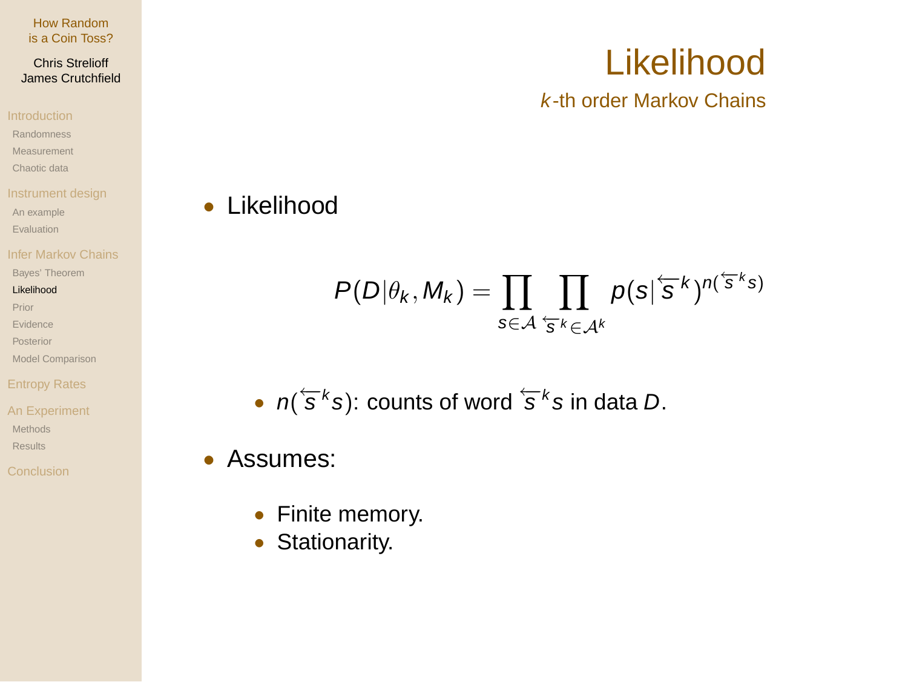Chris Strelioff James Crutchfield

Randomness

Measurement

Chaotic data

An example

Evaluation

Bayes' Theorem

## Likelihood

Prior

Evidence

Posterior

Model Comparison

# Entropy Rates

An Experiment Methods

Results

# • Likelihood

$$
P(D|\theta_k, M_k) = \prod_{s \in A} \prod_{\{s,k\} \in \mathcal{A}^k} p(s | \mathbf{s}^k)^{n(\{s,k\})}
$$

• 
$$
n(\overline{s}^k s)
$$
: counts of word  $\overline{s}^k s$  in data *D*.

# • Assumes:

- Finite memory.
- Stationarity.

# Likelihood

k-th order Markov Chains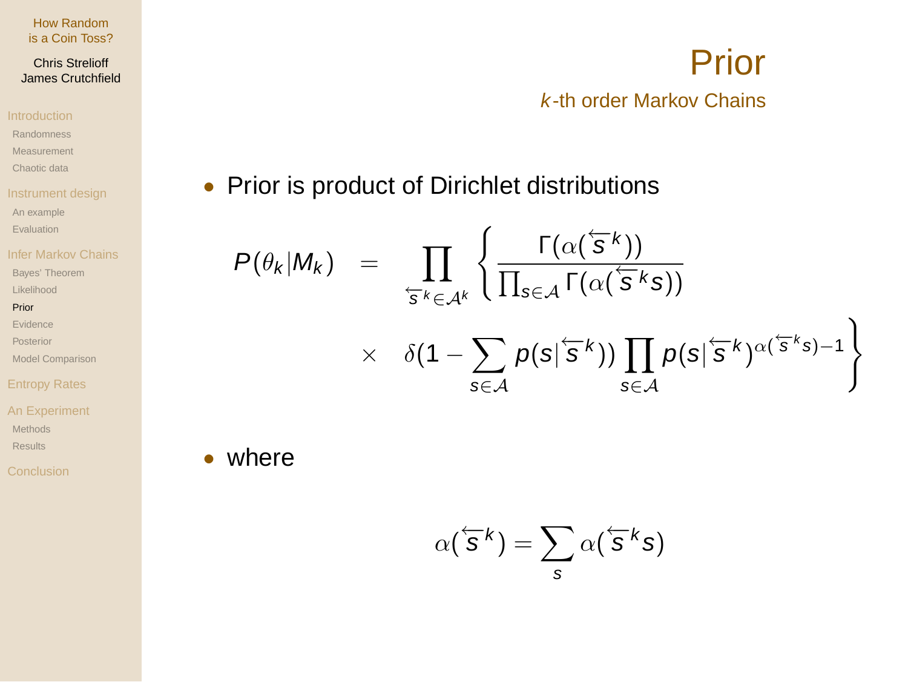## Chris Strelioff James Crutchfield

- Randomness
- Measurement
- Chaotic data
- 
- An example
- Evaluation
- Infer Markov Chains
- Bayes' Theorem
- Likelihood

## Prior

- Evidence
- Posterior
- Model Comparison

# Entropy Rates

- An Experiment Methods
- Results

# Prior k-th order Markov Chains

# • Prior is product of Dirichlet distributions

$$
P(\theta_k|M_k) = \prod_{\varsigma_k \in \mathcal{A}^k} \left\{ \frac{\Gamma(\alpha(\varsigma^k))}{\prod_{s \in \mathcal{A}} \Gamma(\alpha(\varsigma^k s))} \times \delta(1 - \sum_{s \in \mathcal{A}} p(s|\varsigma^k)) \prod_{s \in \mathcal{A}} p(s|\varsigma^k)^{\alpha(\varsigma^k s) - 1} \right\}
$$

• where

$$
\alpha(\overleftarrow{s}^k) = \sum_s \alpha(\overleftarrow{s}^k s)
$$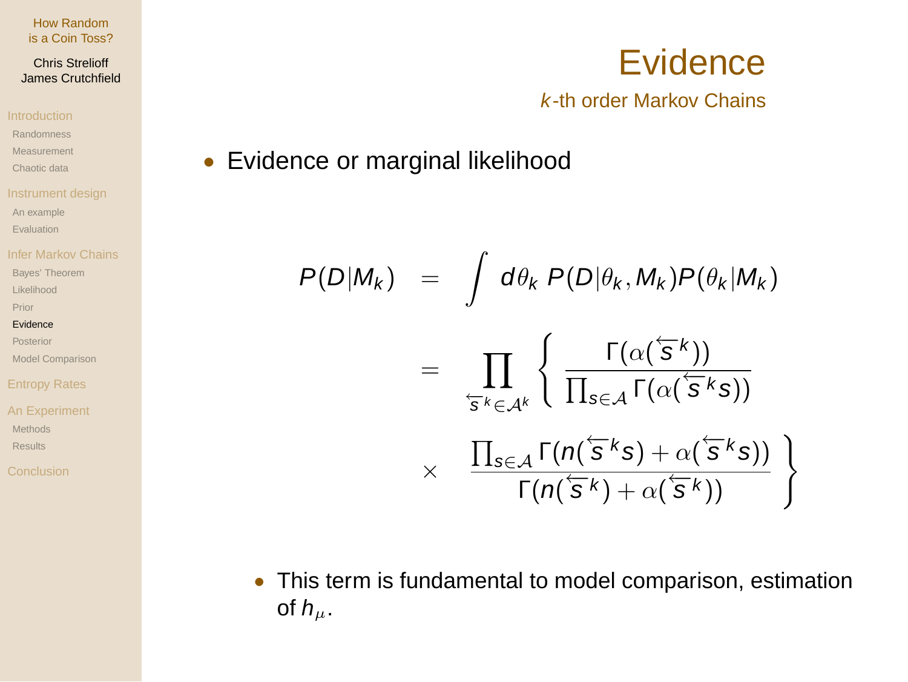## Chris Strelioff James Crutchfield

Randomness

Measurement

Chaotic data

An example

Evaluation

Bayes' Theorem

Likelihood

Prior

## Evidence

Posterior

Model Comparison

# Entropy Rates

An Experiment Methods Results

# **Evidence** k-th order Markov Chains

• Evidence or marginal likelihood

$$
P(D|M_k) = \int d\theta_k P(D|\theta_k, M_k) P(\theta_k|M_k)
$$
  

$$
= \prod_{\mathbf{s}^k \in A^k} \left\{ \frac{\Gamma(\alpha(\mathbf{s}^k))}{\prod_{s \in A} \Gamma(\alpha(\mathbf{s}^k s))} \right\}
$$
  

$$
\times \frac{\prod_{s \in A} \Gamma(n(\mathbf{s}^k s) + \alpha(\mathbf{s}^k s))}{\Gamma(n(\mathbf{s}^k) + \alpha(\mathbf{s}^k))} \right\}
$$

• This term is fundamental to model comparison, estimation of  $h_{\mu}$ .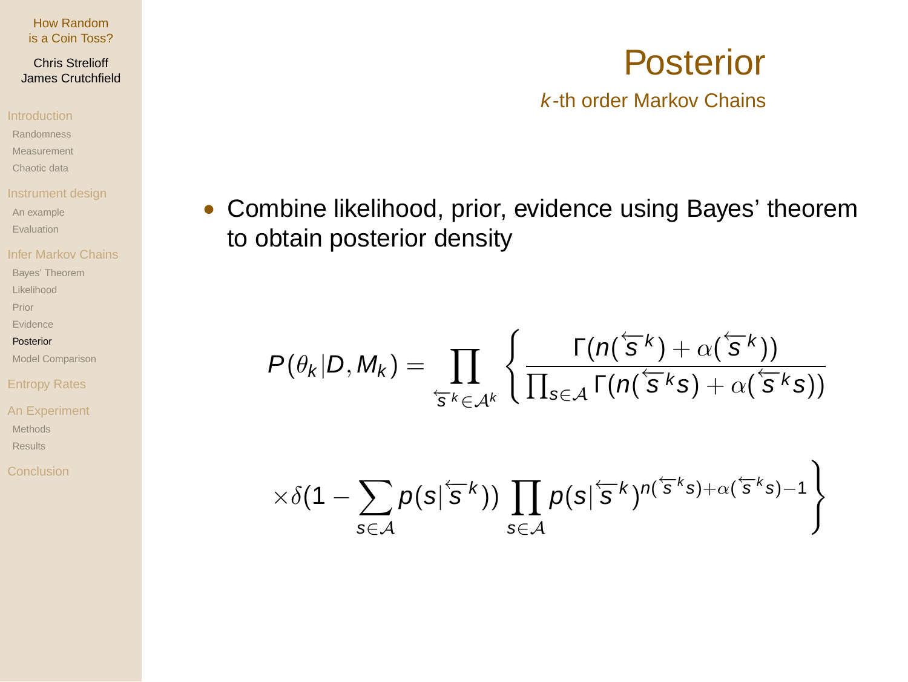## Chris Strelioff James Crutchfield

- Randomness
- Measurement
- Chaotic data

- An example
- Evaluation

- Bayes' Theorem
- Likelihood
- Prior
- Evidence
- Posterior
- Model Comparison

- An Experiment Methods
- Results
- 

# • Combine likelihood, prior, evidence using Bayes' theorem to obtain posterior density

$$
P(\theta_k|D, M_k) = \prod_{\varsigma_{\mathbf{s}} k \in \mathcal{A}^k} \left\{ \frac{\Gamma(n(\varsigma_k) + \alpha(\varsigma_k)}{\prod_{s \in \mathcal{A}} \Gamma(n(\varsigma_k) + \alpha(\varsigma_k)} \right\}
$$

$$
\left. \times \delta(1-\sum_{s\in\mathcal{A}} p(s|^{\leftarrow s k})) \prod_{s\in\mathcal{A}} p(s|^{\leftarrow s k})^{n(\leftarrow s k s)+\alpha(\leftarrow s k s)-1}\right\}
$$

# Posterior k-th order Markov Chains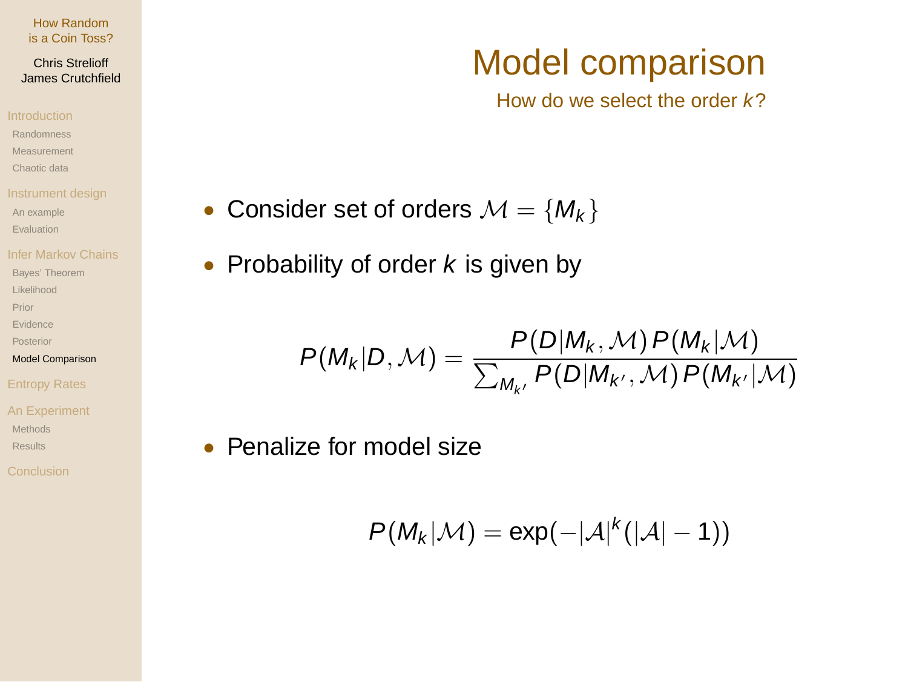## Chris Strelioff James Crutchfield

- Randomness
- Measurement
- Chaotic data
- 
- An example
- Evaluation
- 
- Bayes' Theorem
- Likelihood
- Prior
- Evidence
- Posterior
- Model Comparison

- An Experiment Methods
- Results

# • Consider set of orders  $\mathcal{M} = \{M_k\}$

• Probability of order  $k$  is given by

$$
P(M_k|D, \mathcal{M}) = \frac{P(D|M_k, \mathcal{M}) P(M_k|M)}{\sum_{M_{k'}} P(D|M_{k'}, \mathcal{M}) P(M_{k'}|\mathcal{M})}
$$

• Penalize for model size

$$
P(M_k|\mathcal{M}) = \exp(-|\mathcal{A}|^k(|\mathcal{A}|-1))
$$

# Model comparison

How do we select the order  $k$ ?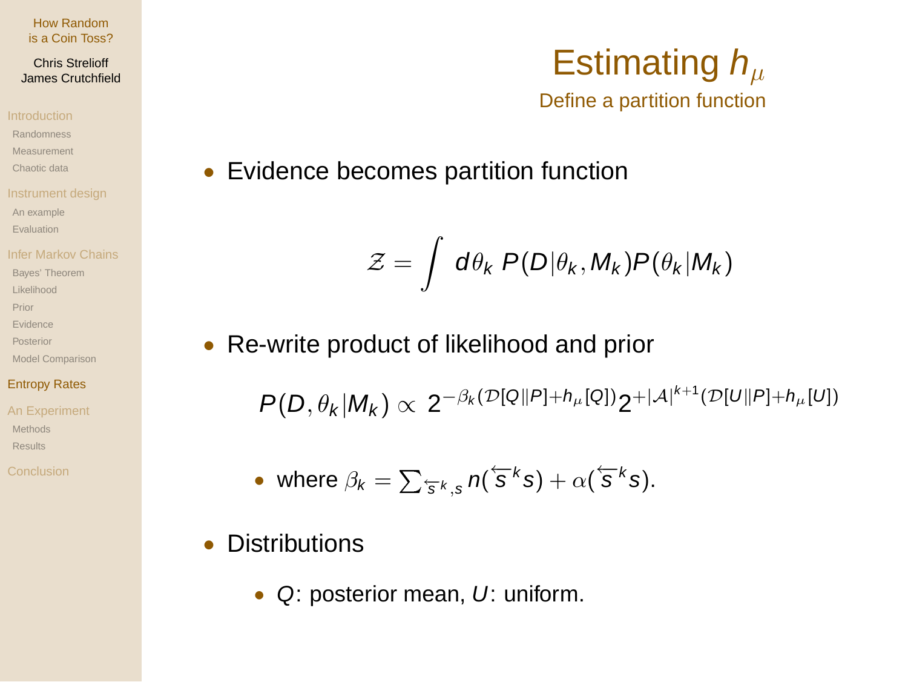## Chris Strelioff James Crutchfield

- Randomness
- Measurement
- Chaotic data
- 
- An example
- Evaluation
- 
- Bayes' Theorem
- Likelihood
- Prior
- Evidence
- Posterior
- Model Comparison

# Entropy Rates

- An Experiment Methode Results
- 

# Estimating  $h_{\mu}$ Define a partition function

• Evidence becomes partition function

$$
\mathcal{Z} = \int d\theta_k \ P(D|\theta_k, M_k) P(\theta_k|M_k)
$$

• Re-write product of likelihood and prior

 $P(D, \theta_k|M_k) \propto 2^{-\beta_k(D[Q||P]+h_\mu[Q])} 2^{+|\mathcal{A}|^{k+1}(\mathcal{D}[U||P]+h_\mu[U])}$ 

• where 
$$
\beta_k = \sum_{\mathbf{\bar{s}}^k, \mathbf{s}} n(\mathbf{\bar{s}}^k \mathbf{s}) + \alpha(\mathbf{\bar{s}}^k \mathbf{s}).
$$

- Distributions
	- Q: posterior mean, U: uniform.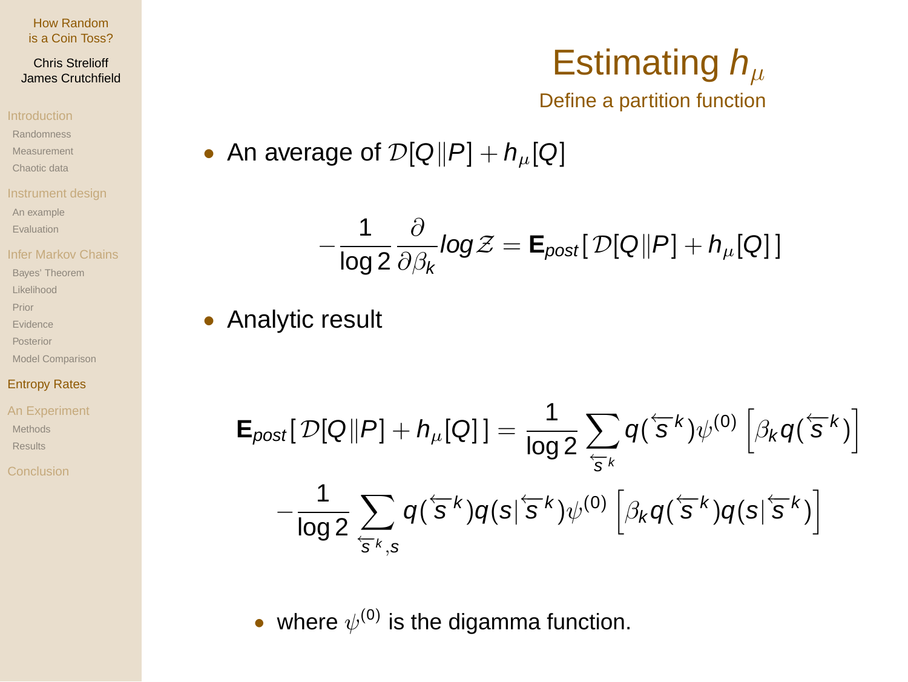## Chris Strelioff James Crutchfield

- Randomness
- Measurement
- Chaotic data
- 
- An example
- Evaluation
- 
- Bayes' Theorem
- Likelihood
- Prior
- Evidence
- Posterior
- Model Comparison

# Entropy Rates

An Experiment Methods Results

# Estimating  $h_\mu$ Define a partition function

• An average of 
$$
\mathcal{D}[Q||P] + h_{\mu}[Q]
$$

$$
-\frac{1}{\log 2}\frac{\partial}{\partial \beta_k}log \mathcal{Z} = \mathbf{E}_{post}[\mathcal{D}[Q||P] + h_{\mu}[Q]]
$$

# • Analytic result

$$
\mathsf{E}_{post}[\mathcal{D}[\mathcal{Q}||\mathcal{P}] + h_{\mu}[\mathcal{Q}]] = \frac{1}{\log 2} \sum_{\overline{s}} q(\overline{s}^k) \psi^{(0)} \left[ \beta_k q(\overline{s}^k) \right] - \frac{1}{\log 2} \sum_{\overline{s}^k, s} q(\overline{s}^k) q(s|\overline{s}^k) \psi^{(0)} \left[ \beta_k q(\overline{s}^k) q(s|\overline{s}^k) \right]
$$

• where  $\psi^{(0)}$  is the digamma function.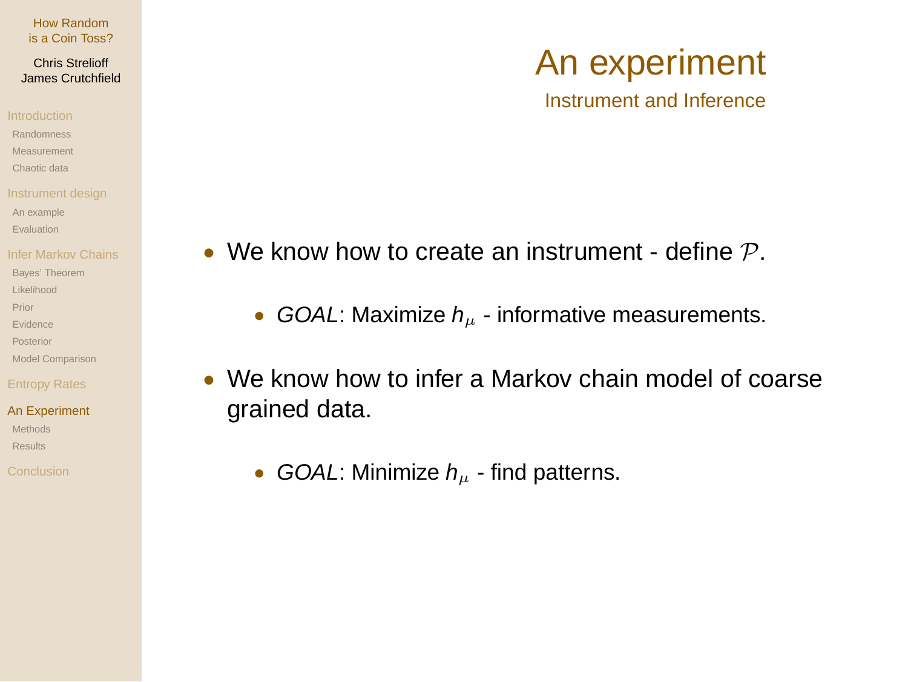## Chris Strelioff James Crutchfield

- Randomness
- Measurement
- Chaotic data
- 
- An example
- Evaluation
- 
- Bayes' Theorem
- Likelihood
- Prior
- Evidence
- Posterior
- Model Comparison

- An Experiment Methode
- Results
- 
- We know how to create an instrument define  $P$ .
	- GOAL: Maximize  $h_{\mu}$  informative measurements.
- We know how to infer a Markov chain model of coarse grained data.
	- GOAL: Minimize  $h_{\mu}$  find patterns.

# An experiment

Instrument and Inference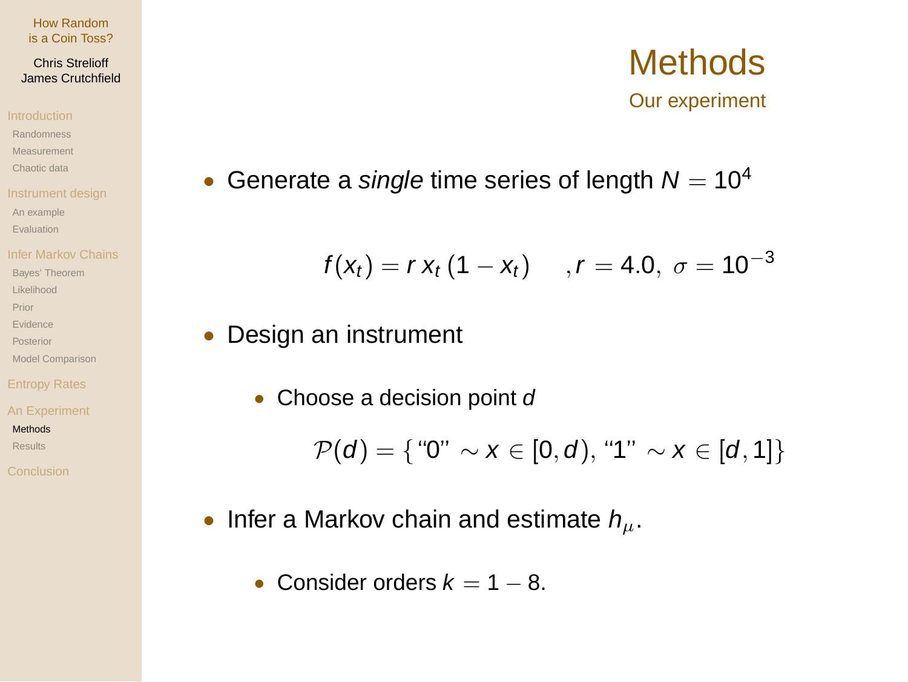## Chris Strelioff James Crutchfield

- Randomness
- Measurement
- Chaotic data
- 
- An example
- Evaluation
- 
- Bayes' Theorem
- Likelihood
- Prior
- Evidence
- Posterior
- Model Comparison

An Experiment

## Methods

- Results
- 

# • Generate a single time series of length  $N = 10^4$

$$
f(x_t) = r x_t (1 - x_t)
$$
,  $r = 4.0$ ,  $\sigma = 10^{-3}$ 

# • Design an instrument

• Choose a decision point d

$$
\mathcal{P}(d) = \{``0" \sim x \in [0, d), "1" \sim x \in [d, 1]\}
$$

- Infer a Markov chain and estimate  $h_{\mu}$ .
	- Consider orders  $k = 1 8$ .

# **Methods** Our experiment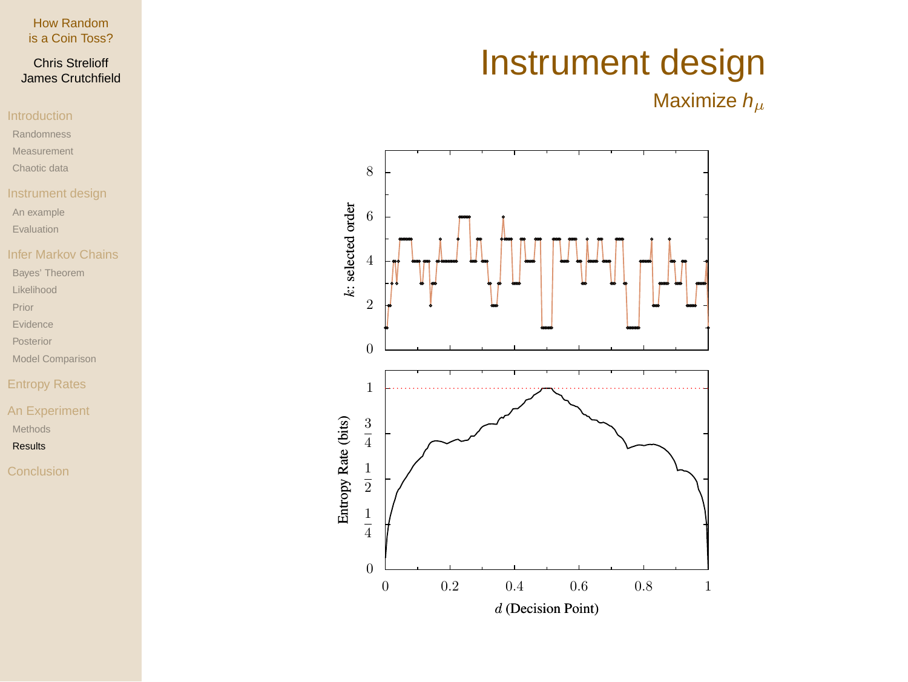# Chris Strelioff James Crutchfield

- Randomness
- Measurement
- Chaotic data
- 
- An example
- Evaluation

- Bayes' Theorem
- Likelihood
- Prior
- Evidence
- Posterior
- Model Comparison

# Entropy Rates

An Experiment Methods

## Results

# Instrument design

Maximize  $h_\mu$ 

![](_page_25_Figure_22.jpeg)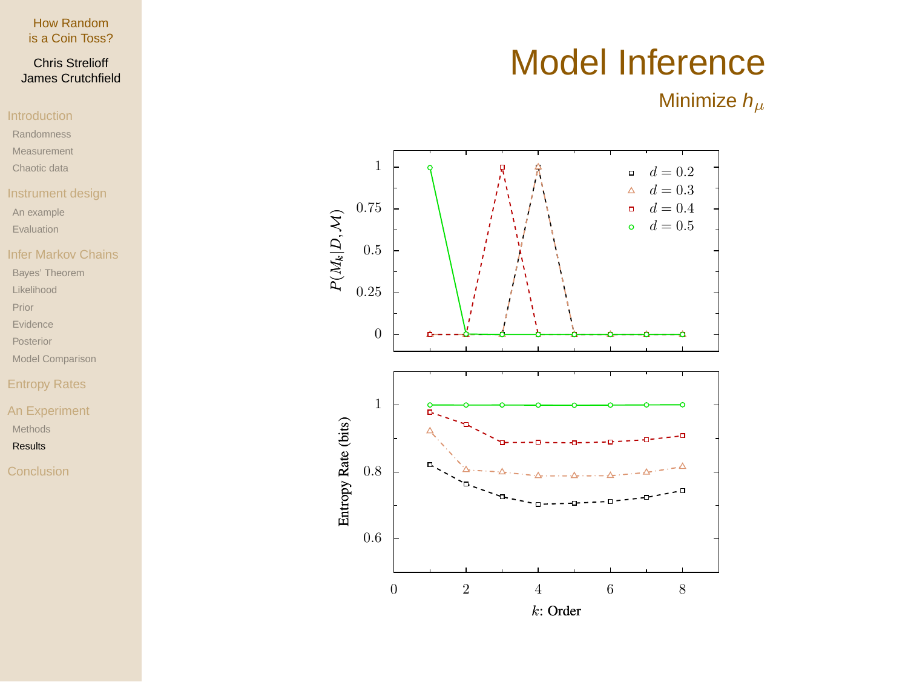# Chris Strelioff James Crutchfield

- Randomness
- Measurement
- Chaotic data
- 
- An example
- Evaluation

- Bayes' Theorem
- Likelihood
- Prior
- Evidence
- Posterior
- Model Comparison

# Entropy Rates

An Experiment Methods

## Results

# Model Inference

Minimize  $h_\mu$ 

![](_page_26_Figure_22.jpeg)